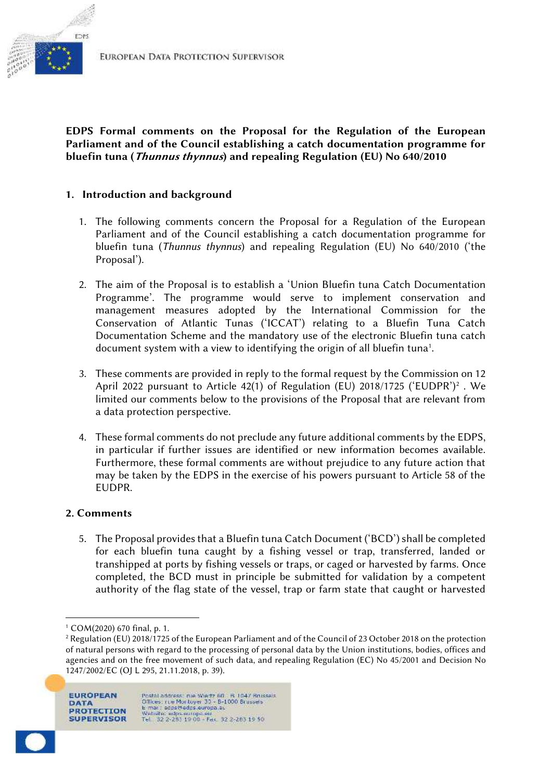

**EDPS Formal comments on the Proposal for the Regulation of the European Parliament and of the Council establishing a catch documentation programme for bluefin tuna (***Thunnus thynnus***) and repealing Regulation (EU) No 640/2010**

## **1. Introduction and background**

- 1. The following comments concern the Proposal for a Regulation of the European Parliament and of the Council establishing a catch documentation programme for bluefin tuna (*Thunnus thynnus*) and repealing Regulation (EU) No 640/2010 ('the Proposal').
- 2. The aim of the Proposal is to establish a 'Union Bluefin tuna Catch Documentation Programme'. The programme would serve to implement conservation and management measures adopted by the International Commission for the Conservation of Atlantic Tunas ('ICCAT') relating to a Bluefin Tuna Catch Documentation Scheme and the mandatory use of the electronic Bluefin tuna catch document system with a view to identifying the origin of all bluefin tuna<sup>1</sup>.
- 3. These comments are provided in reply to the formal request by the Commission on 12 April 2022 pursuant to Article 42(1) of Regulation (EU) 2018/1725 ('EUDPR')<sup>2</sup> . We limited our comments below to the provisions of the Proposal that are relevant from a data protection perspective.
- 4. These formal comments do not preclude any future additional comments by the EDPS, in particular if further issues are identified or new information becomes available. Furthermore, these formal comments are without prejudice to any future action that may be taken by the EDPS in the exercise of his powers pursuant to Article 58 of the EUDPR.

## **2. Comments**

5. The Proposal provides that a Bluefin tuna Catch Document ('BCD') shall be completed for each bluefin tuna caught by a fishing vessel or trap, transferred, landed or transhipped at ports by fishing vessels or traps, or caged or harvested by farms. Once completed, the BCD must in principle be submitted for validation by a competent authority of the flag state of the vessel, trap or farm state that caught or harvested

<sup>&</sup>lt;sup>2</sup> Regulation (EU) 2018/1725 of the European Parliament and of the Council of 23 October 2018 on the protection of natural persons with regard to the processing of personal data by the Union institutions, bodies, offices and agencies and on the free movement of such data, and repealing Regulation (EC) No 45/2001 and Decision No 1247/2002/EC (OJ L 295, 21.11.2018, p. 39).



<sup>1</sup> COM(2020) 670 final, p. 1.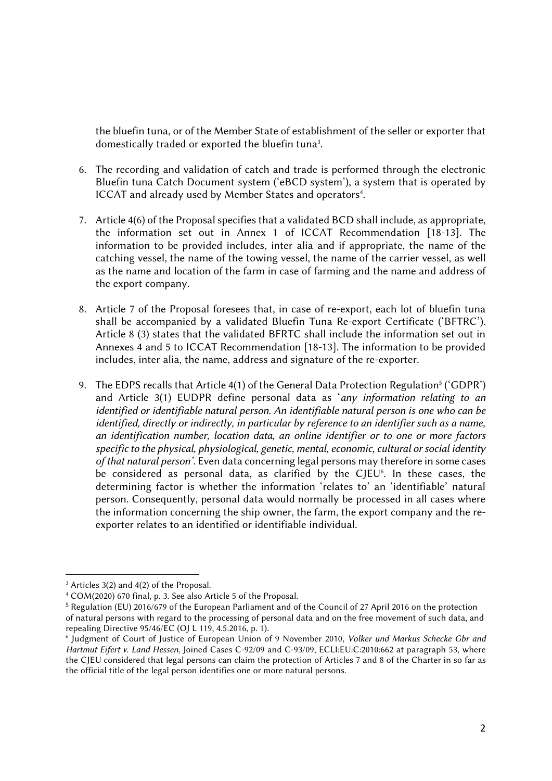the bluefin tuna, or of the Member State of establishment of the seller or exporter that domestically traded or exported the bluefin tuna<sup>3</sup>.

- 6. The recording and validation of catch and trade is performed through the electronic Bluefin tuna Catch Document system ('eBCD system'), a system that is operated by ICCAT and already used by Member States and operators<sup>4</sup>.
- 7. Article 4(6) of the Proposal specifies that a validated BCD shall include, as appropriate, the information set out in Annex 1 of ICCAT Recommendation [18-13]. The information to be provided includes, inter alia and if appropriate, the name of the catching vessel, the name of the towing vessel, the name of the carrier vessel, as well as the name and location of the farm in case of farming and the name and address of the export company.
- 8. Article 7 of the Proposal foresees that, in case of re-export, each lot of bluefin tuna shall be accompanied by a validated Bluefin Tuna Re-export Certificate ('BFTRC'). Article 8 (3) states that the validated BFRTC shall include the information set out in Annexes 4 and 5 to ICCAT Recommendation [18-13]. The information to be provided includes, inter alia, the name, address and signature of the re-exporter.
- 9. The EDPS recalls that Article 4(1) of the General Data Protection Regulation<sup>5</sup> ('GDPR') and Article 3(1) EUDPR define personal data as '*any information relating to an identified or identifiable natural person. An identifiable natural person is one who can be identified, directly or indirectly, in particular by reference to an identifier such as a name, an identification number, location data, an online identifier or to one or more factors specific to the physical, physiological, genetic, mental, economic, cultural or social identity of that natural person'*. Even data concerning legal persons may therefore in some cases be considered as personal data, as clarified by the CJEU<sup>6</sup>. In these cases, the determining factor is whether the information 'relates to' an 'identifiable' natural person. Consequently, personal data would normally be processed in all cases where the information concerning the ship owner, the farm, the export company and the re exporter relates to an identified or identifiable individual.

<sup>&</sup>lt;sup>3</sup> Articles 3(2) and 4(2) of the Proposal.

<sup>4</sup> COM(2020) 670 final, p. 3. See also Article 5 of the Proposal.

<sup>5</sup> Regulation (EU) 2016/679 of the European Parliament and of the Council of 27 April 2016 on the protection of natural persons with regard to the processing of personal data and on the free movement of such data, and repealing Directive 95/46/EC (OJ L 119, 4.5.2016, p. 1).

<sup>6</sup> Judgment of Court of Justice of European Union of 9 November 2010, *Volker und Markus Schecke Gbr and Hartmut Eifert v. Land Hessen*, Joined Cases C-92/09 and C-93/09, ECLI:EU:C:2010:662 at paragraph 53, where the CJEU considered that legal persons can claim the protection of Articles 7 and 8 of the Charter in so far as the official title of the legal person identifies one or more natural persons.